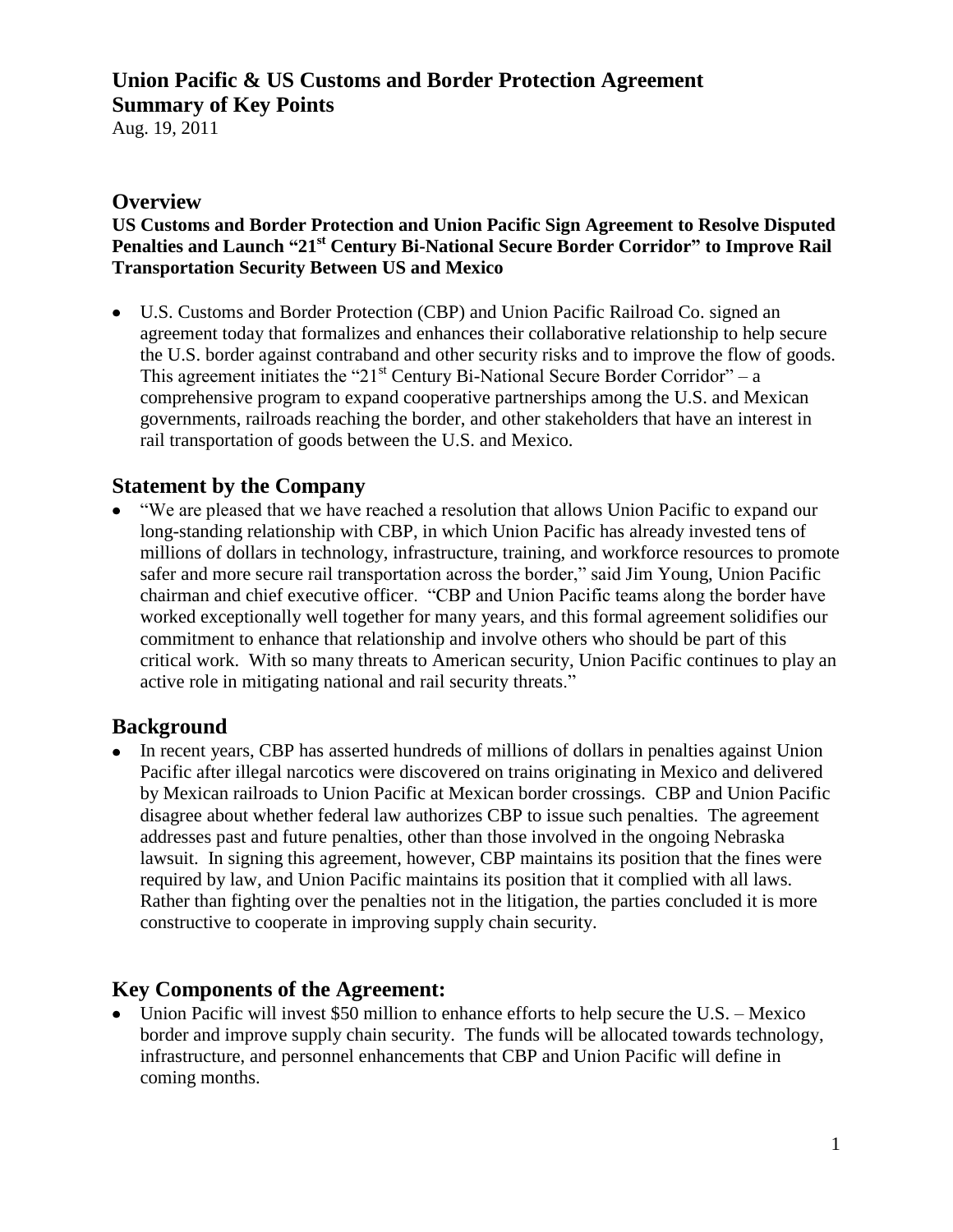# **Union Pacific & US Customs and Border Protection Agreement Summary of Key Points**

Aug. 19, 2011

#### **Overview**

#### **US Customs and Border Protection and Union Pacific Sign Agreement to Resolve Disputed Penalties and Launch "21st Century Bi-National Secure Border Corridor" to Improve Rail Transportation Security Between US and Mexico**

U.S. Customs and Border Protection (CBP) and Union Pacific Railroad Co. signed an agreement today that formalizes and enhances their collaborative relationship to help secure the U.S. border against contraband and other security risks and to improve the flow of goods. This agreement initiates the "21<sup>st</sup> Century Bi-National Secure Border Corridor" – a comprehensive program to expand cooperative partnerships among the U.S. and Mexican governments, railroads reaching the border, and other stakeholders that have an interest in rail transportation of goods between the U.S. and Mexico.

## **Statement by the Company**

"We are pleased that we have reached a resolution that allows Union Pacific to expand our long-standing relationship with CBP, in which Union Pacific has already invested tens of millions of dollars in technology, infrastructure, training, and workforce resources to promote safer and more secure rail transportation across the border," said Jim Young, Union Pacific chairman and chief executive officer. "CBP and Union Pacific teams along the border have worked exceptionally well together for many years, and this formal agreement solidifies our commitment to enhance that relationship and involve others who should be part of this critical work. With so many threats to American security, Union Pacific continues to play an active role in mitigating national and rail security threats."

## **Background**

In recent years, CBP has asserted hundreds of millions of dollars in penalties against Union Pacific after illegal narcotics were discovered on trains originating in Mexico and delivered by Mexican railroads to Union Pacific at Mexican border crossings. CBP and Union Pacific disagree about whether federal law authorizes CBP to issue such penalties. The agreement addresses past and future penalties, other than those involved in the ongoing Nebraska lawsuit. In signing this agreement, however, CBP maintains its position that the fines were required by law, and Union Pacific maintains its position that it complied with all laws. Rather than fighting over the penalties not in the litigation, the parties concluded it is more constructive to cooperate in improving supply chain security.

## **Key Components of the Agreement:**

• Union Pacific will invest \$50 million to enhance efforts to help secure the U.S. – Mexico border and improve supply chain security. The funds will be allocated towards technology, infrastructure, and personnel enhancements that CBP and Union Pacific will define in coming months.